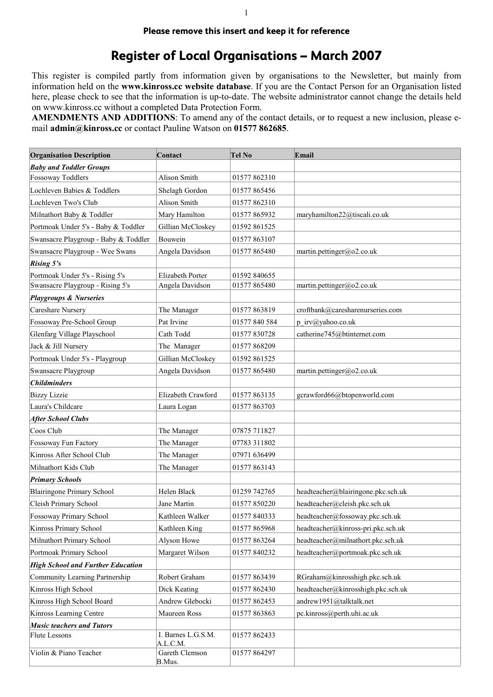## **Please remove this insert and keep it for reference**

## **Register of Local Organisations – March 2007**

This register is compiled partly from information given by organisations to the Newsletter, but mainly from information held on the www.kinross.cc website database. If you are the Contact Person for an Organisation listed here, please check to see that the information is up-to-date. The website administrator cannot change the details held on www.kinross.cc without a completed Data Protection Form.

AMENDMENTS AND ADDITIONS: To amend any of the contact details, or to request a new inclusion, please email admin@kinross.cc or contact Pauline Watson on 01577 862685.

| <b>Organisation Description</b>          | Contact                        | <b>Tel No</b> | Email                              |
|------------------------------------------|--------------------------------|---------------|------------------------------------|
| <b>Baby and Toddler Groups</b>           |                                |               |                                    |
| Fossoway Toddlers                        | Alison Smith                   | 01577 862310  |                                    |
| Lochleven Babies & Toddlers              | Shelagh Gordon                 | 01577 865456  |                                    |
| Lochleven Two's Club                     | <b>Alison Smith</b>            | 01577 862310  |                                    |
| Milnathort Baby & Toddler                | Mary Hamilton                  | 01577 865932  | maryhamilton22@tiscali.co.uk       |
| Portmoak Under 5's - Baby & Toddler      | Gillian McCloskey              | 01592 861525  |                                    |
| Swansacre Playgroup - Baby & Toddler     | Bouwein                        | 01577 863107  |                                    |
| Swansacre Playgroup - Wee Swans          | Angela Davidson                | 01577 865480  | martin.pettinger@o2.co.uk          |
| Rising 5's                               |                                |               |                                    |
| Portmoak Under 5's - Rising 5's          | Elizabeth Porter               | 01592 840655  |                                    |
| Swansacre Playgroup - Rising 5's         | Angela Davidson                | 01577 865480  | martin.pettinger@o2.co.uk          |
| <b>Playgroups &amp; Nurseries</b>        |                                |               |                                    |
| Careshare Nursery                        | The Manager                    | 01577 863819  | croftbank@caresharenurseries.com   |
| Fossoway Pre-School Group                | Pat Irvine                     | 01577 840 584 | p irv@yahoo.co.uk                  |
| Glenfarg Village Playschool              | Cath Todd                      | 01577 830728  | catherine745@btinternet.com        |
| Jack & Jill Nursery                      | The Manager                    | 01577868209   |                                    |
| Portmoak Under 5's - Playgroup           | Gillian McCloskey              | 01592 861525  |                                    |
| Swansacre Playgroup                      | Angela Davidson                | 01577 865480  | martin.pettinger@o2.co.uk          |
| <b>Childminders</b>                      |                                |               |                                    |
| <b>Bizzy Lizzie</b>                      | Elizabeth Crawford             | 01577863135   | gcrawford66@btopenworld.com        |
| Laura's Childcare                        | Laura Logan                    | 01577 863703  |                                    |
| After School Clubs                       |                                |               |                                    |
| Coos Club                                | The Manager                    | 07875 711827  |                                    |
| Fossoway Fun Factory                     | The Manager                    | 07783 311802  |                                    |
| Kinross After School Club                | The Manager                    | 07971 636499  |                                    |
| Milnathort Kids Club                     | The Manager                    | 01577 863143  |                                    |
| <b>Primary Schools</b>                   |                                |               |                                    |
| <b>Blairingone Primary School</b>        | Helen Black                    | 01259 742765  | headteacher@blairingone.pkc.sch.uk |
| Cleish Primary School                    | Jane Martin                    | 01577 850220  | headteacher@cleish.pkc.sch.uk      |
| Fossoway Primary School                  | Kathleen Walker                | 01577 840333  | headteacher@fossoway.pkc.sch.uk    |
| Kinross Primary School                   | Kathleen King                  | 01577 865968  | headteacher@kinross-pri.pkc.sch.uk |
| Milnathort Primary School                | Alyson Howe                    | 01577 863264  | headteacher@milnathort.pkc.sch.uk  |
| Portmoak Primary School                  | Margaret Wilson                | 01577 840232  | headteacher@portmoak.pkc.sch.uk    |
| <b>High School and Further Education</b> |                                |               |                                    |
| Community Learning Partnership           | Robert Graham                  | 01577 863439  | RGraham@kinrosshigh.pkc.sch.uk     |
| Kinross High School                      | Dick Keating                   | 01577 862430  | headteacher@kinrosshigh.pkc.sch.uk |
| Kinross High School Board                | Andrew Glebocki                | 01577 862453  | andrew1951@talktalk.net            |
| Kinross Learning Centre                  | Maureen Ross                   | 01577 863863  | pc.kinross@perth.uhi.ac.uk         |
| <b>Music teachers and Tutors</b>         |                                |               |                                    |
| <b>Flute Lessons</b>                     | I. Barnes L.G.S.M.<br>A.L.C.M. | 01577 862433  |                                    |
| Violin & Piano Teacher                   | Gareth Clemson<br>B.Mus.       | 01577 864297  |                                    |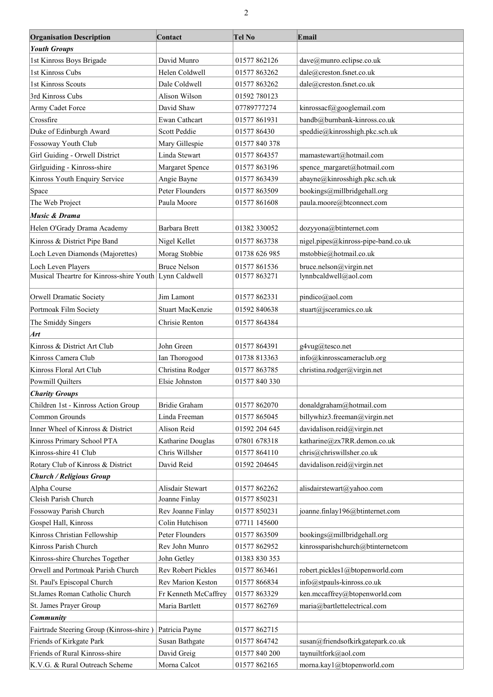| <b>Organisation Description</b>          | Contact                 | <b>Tel No</b> | Email                               |
|------------------------------------------|-------------------------|---------------|-------------------------------------|
| <b>Youth Groups</b>                      |                         |               |                                     |
| 1st Kinross Boys Brigade                 | David Munro             | 01577 862126  | dave@munro.eclipse.co.uk            |
| 1st Kinross Cubs                         | Helen Coldwell          | 01577 863262  | dale@creston.fsnet.co.uk            |
| 1st Kinross Scouts                       | Dale Coldwell           | 01577 863262  | dale@creston.fsnet.co.uk            |
| 3rd Kinross Cubs                         | Alison Wilson           | 01592 780123  |                                     |
| Army Cadet Force                         | David Shaw              | 07789777274   | kinrossacf@googlemail.com           |
| Crossfire                                | Ewan Cathcart           | 01577 861931  | bandb@burnbank-kinross.co.uk        |
| Duke of Edinburgh Award                  | Scott Peddie            | 01577 86430   | speddie@kinrosshigh.pkc.sch.uk      |
| Fossoway Youth Club                      | Mary Gillespie          | 01577 840 378 |                                     |
| Girl Guiding - Orwell District           | Linda Stewart           | 01577 864357  | mamastewart@hotmail.com             |
|                                          |                         |               |                                     |
| Girlguiding - Kinross-shire              | Margaret Spence         | 01577 863196  | spence margaret@hotmail.com         |
| Kinross Youth Enquiry Service            | Angie Bayne             | 01577 863439  | abayne@kinrosshigh.pkc.sch.uk       |
| Space                                    | Peter Flounders         | 01577 863509  | bookings@millbridgehall.org         |
| The Web Project                          | Paula Moore             | 01577 861608  | paula.moore@btconnect.com           |
| <b>Music &amp; Drama</b>                 |                         |               |                                     |
| Helen O'Grady Drama Academy              | Barbara Brett           | 01382 330052  | dozyyona@btinternet.com             |
| Kinross & District Pipe Band             | Nigel Kellet            | 01577 863738  | nigel.pipes@kinross-pipe-band.co.uk |
| Loch Leven Diamonds (Majorettes)         | Morag Stobbie           | 01738 626 985 | mstobbie@hotmail.co.uk              |
| Loch Leven Players                       | <b>Bruce Nelson</b>     | 01577 861536  | bruce.nelson@virgin.net             |
| Musical Theartre for Kinross-shire Youth | Lynn Caldwell           | 01577 863271  | lynnbcaldwell@aol.com               |
| Orwell Dramatic Society                  | Jim Lamont              | 01577 862331  | pindico@aol.com                     |
| Portmoak Film Society                    | <b>Stuart MacKenzie</b> | 01592 840638  | stuart@jsceramics.co.uk             |
|                                          |                         |               |                                     |
| The Smiddy Singers                       | Chrisie Renton          | 01577 864384  |                                     |
| Art                                      |                         |               |                                     |
| Kinross & District Art Club              | John Green              | 01577 864391  | g4vug@tesco.net                     |
| Kinross Camera Club                      | Ian Thorogood           | 01738 813363  | info@kinrosscameraclub.org          |
| Kinross Floral Art Club                  | Christina Rodger        | 01577 863785  | christina.rodger@virgin.net         |
| Powmill Quilters                         | Elsie Johnston          | 01577 840 330 |                                     |
| <b>Charity Groups</b>                    |                         |               |                                     |
| Children 1st - Kinross Action Group      | Bridie Graham           | 01577 862070  | donaldgraham@hotmail.com            |
| Common Grounds                           | Linda Freeman           | 01577 865045  | billywhiz3.freeman@virgin.net       |
| Inner Wheel of Kinross & District        | Alison Reid             | 01592 204 645 | davidalison.reid@virgin.net         |
| Kinross Primary School PTA               | Katharine Douglas       | 07801 678318  | katharine@zx7RR.demon.co.uk         |
| Kinross-shire 41 Club                    | Chris Willsher          | 01577 864110  | chris@chriswillsher.co.uk           |
| Rotary Club of Kinross & District        | David Reid              | 01592 204645  | davidalison.reid@virgin.net         |
| <b>Church / Religious Group</b>          |                         |               |                                     |
| Alpha Course                             | Alisdair Stewart        | 01577 862262  | alisdairstewart@yahoo.com           |
| Cleish Parish Church                     | Joanne Finlay           | 01577 850231  |                                     |
| Fossoway Parish Church                   | Rev Joanne Finlay       | 01577 850231  | joanne.finlay196@btinternet.com     |
| Gospel Hall, Kinross                     | Colin Hutchison         | 07711 145600  |                                     |
| Kinross Christian Fellowship             | Peter Flounders         | 01577 863509  | bookings@millbridgehall.org         |
| Kinross Parish Church                    | Rev John Munro          | 01577 862952  | kinrossparishchurch@btinternetcom   |
| Kinross-shire Churches Together          | John Getley             | 01383 830 353 |                                     |
| Orwell and Portmoak Parish Church        | Rev Robert Pickles      | 01577 863461  | robert.pickles1@btopenworld.com     |
| St. Paul's Episcopal Church              | Rev Marion Keston       | 01577 866834  | info@stpauls-kinross.co.uk          |
| St.James Roman Catholic Church           | Fr Kenneth McCaffrey    | 01577 863329  | ken.mccaffrey@btopenworld.com       |
| St. James Prayer Group                   | Maria Bartlett          | 01577 862769  | maria@bartlettelectrical.com        |
| Community                                |                         |               |                                     |
| Fairtrade Steering Group (Kinross-shire) | Patricia Payne          | 01577 862715  |                                     |
| Friends of Kirkgate Park                 | Susan Bathgate          | 01577 864742  | susan@friendsofkirkgatepark.co.uk   |
| Friends of Rural Kinross-shire           | David Greig             | 01577 840 200 | taynuiltfork@aol.com                |
| K.V.G. & Rural Outreach Scheme           | Morna Calcot            | 01577 862165  | morna.kay1@btopenworld.com          |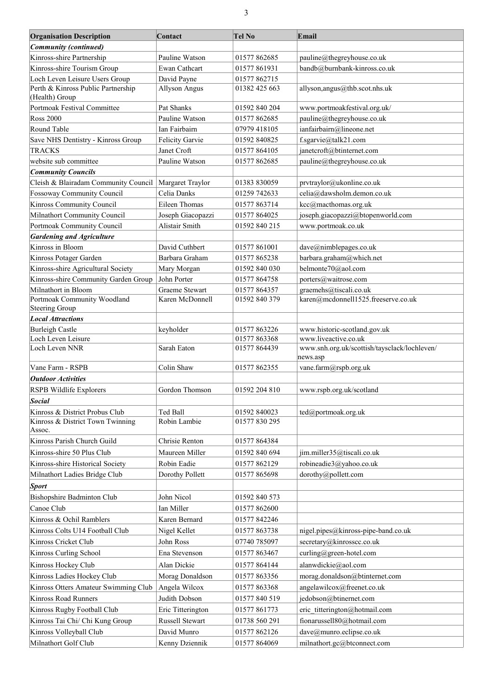| <b>Organisation Description</b>                      | Contact                           | <b>Tel No</b>                 | Email                                                         |
|------------------------------------------------------|-----------------------------------|-------------------------------|---------------------------------------------------------------|
| <b>Community (continued)</b>                         |                                   |                               |                                                               |
| Kinross-shire Partnership                            | Pauline Watson                    | 01577 862685                  | pauline@thegreyhouse.co.uk                                    |
| Kinross-shire Tourism Group                          | Ewan Cathcart                     | 01577 861931                  | bandb@burnbank-kinross.co.uk                                  |
| Loch Leven Leisure Users Group                       | David Payne                       | 01577 862715                  |                                                               |
| Perth & Kinross Public Partnership<br>(Health) Group | <b>Allyson Angus</b>              | 01382 425 663                 | allyson, angus@thb.scot.nhs.uk                                |
| Portmoak Festival Committee                          | Pat Shanks                        | 01592 840 204                 |                                                               |
| <b>Ross 2000</b>                                     | Pauline Watson                    | 01577 862685                  | www.portmoakfestival.org.uk/<br>pauline@thegreyhouse.co.uk    |
| Round Table                                          | Ian Fairbairn                     |                               | ianfairbairn@lineone.net                                      |
| Save NHS Dentistry - Kinross Group                   | Felicity Garvie                   | 07979 418105                  | f.sgarvie@talk21.com                                          |
| <b>TRACKS</b>                                        | Janet Croft                       | 01592 840825<br>01577 864105  | janetcroft@btinternet.com                                     |
| website sub committee                                | Pauline Watson                    | 01577 862685                  | pauline@thegreyhouse.co.uk                                    |
| <b>Community Councils</b>                            |                                   |                               |                                                               |
| Cleish & Blairadam Community Council                 | Margaret Traylor                  | 01383 830059                  | prvtraylor@ukonline.co.uk                                     |
|                                                      | Celia Danks                       | 01259 742633                  | celia@dawsholm.demon.co.uk                                    |
| Fossoway Community Council                           | Eileen Thomas                     | 01577 863714                  |                                                               |
| Kinross Community Council                            |                                   |                               | kcc@macthomas.org.uk<br>joseph.giacopazzi@btopenworld.com     |
| Milnathort Community Council                         | Joseph Giacopazzi                 | 01577 864025                  |                                                               |
| Portmoak Community Council                           | Alistair Smith                    | 01592 840 215                 | www.portmoak.co.uk                                            |
| <b>Gardening and Agriculture</b>                     |                                   |                               |                                                               |
| Kinross in Bloom                                     | David Cuthbert                    | 01577 861001                  | dave@nimblepages.co.uk                                        |
| Kinross Potager Garden                               | Barbara Graham                    | 01577 865238                  | barbara.graham@which.net                                      |
| Kinross-shire Agricultural Society                   | Mary Morgan                       | 01592 840 030                 | belmonte70@aol.com                                            |
| Kinross-shire Community Garden Group                 | John Porter                       | 01577 864758                  | porters@waitrose.com                                          |
| Milnathort in Bloom<br>Portmoak Community Woodland   | Graeme Stewart<br>Karen McDonnell | 01577 864357<br>01592 840 379 | graemehs@tiscali.co.uk<br>karen@mcdonnell1525.freeserve.co.uk |
| <b>Steering Group</b>                                |                                   |                               |                                                               |
| <b>Local Attractions</b>                             |                                   |                               |                                                               |
| <b>Burleigh Castle</b>                               | keyholder                         | 01577 863226                  | www.historic-scotland.gov.uk                                  |
| Loch Leven Leisure                                   |                                   | 01577 863368                  | www.liveactive.co.uk                                          |
| Loch Leven NNR                                       | Sarah Eaton                       | 01577 864439                  | www.snh.org.uk/scottish/taysclack/lochleven/<br>news.asp      |
| Vane Farm - RSPB                                     | Colin Shaw                        | 01577 862355                  | vane.farm@rspb.org.uk                                         |
| <b>Outdoor Activities</b>                            |                                   |                               |                                                               |
| RSPB Wildlife Explorers                              | Gordon Thomson                    | 01592 204 810                 | www.rspb.org.uk/scotland                                      |
| Social                                               |                                   |                               |                                                               |
| Kinross & District Probus Club                       | Ted Ball                          | 01592 840023                  | ted@portmoak.org.uk                                           |
| Kinross & District Town Twinning                     | Robin Lambie                      | 01577 830 295                 |                                                               |
| Assoc.                                               |                                   |                               |                                                               |
| Kinross Parish Church Guild                          | Chrisie Renton                    | 01577 864384                  |                                                               |
| Kinross-shire 50 Plus Club                           | Maureen Miller                    | 01592 840 694                 | jim.miller35@tiscali.co.uk                                    |
| Kinross-shire Historical Society                     | Robin Eadie                       | 01577 862129                  | robineadie3@yahoo.co.uk                                       |
| Milnathort Ladies Bridge Club                        | Dorothy Pollett                   | 01577 865698                  | dorothy@pollett.com                                           |
| <b>Sport</b>                                         |                                   |                               |                                                               |
| <b>Bishopshire Badminton Club</b>                    | John Nicol                        | 01592 840 573                 |                                                               |
| Canoe Club                                           | Ian Miller                        | 01577 862600                  |                                                               |
| Kinross & Ochil Ramblers                             | Karen Bernard                     | 01577 842246                  |                                                               |
| Kinross Colts U14 Football Club                      | Nigel Kellet                      | 01577 863738                  | nigel.pipes@kinross-pipe-band.co.uk                           |
| Kinross Cricket Club                                 | John Ross                         | 07740 785097                  | secretary@kinrosscc.co.uk                                     |
|                                                      | Ena Stevenson                     |                               | curling@green-hotel.com                                       |
| Kinross Curling School                               |                                   | 01577 863467                  |                                                               |
| Kinross Hockey Club                                  | Alan Dickie                       | 01577 864144                  | alanwdickie@aol.com                                           |
| Kinross Ladies Hockey Club                           | Morag Donaldson                   | 01577 863356                  | morag.donaldson@btinternet.com                                |
| Kinross Otters Amateur Swimming Club                 | Angela Wilcox                     | 01577 863368                  | angelawilcox@freenet.co.uk                                    |
| Kinross Road Runners                                 | Judith Dobson                     | 01577 840 519                 | jedobson@btinernet.com                                        |
| Kinross Rugby Football Club                          | Eric Titterington                 | 01577 861773                  | eric_titterington@hotmail.com                                 |
| Kinross Tai Chi/ Chi Kung Group                      | Russell Stewart                   | 01738 560 291                 | fionarussell80@hotmail.com                                    |
| Kinross Volleyball Club                              | David Munro                       | 01577 862126                  | dave@munro.eclipse.co.uk                                      |
| Milnathort Golf Club                                 | Kenny Dziennik                    | 01577 864069                  | milnathort.gc@btconnect.com                                   |